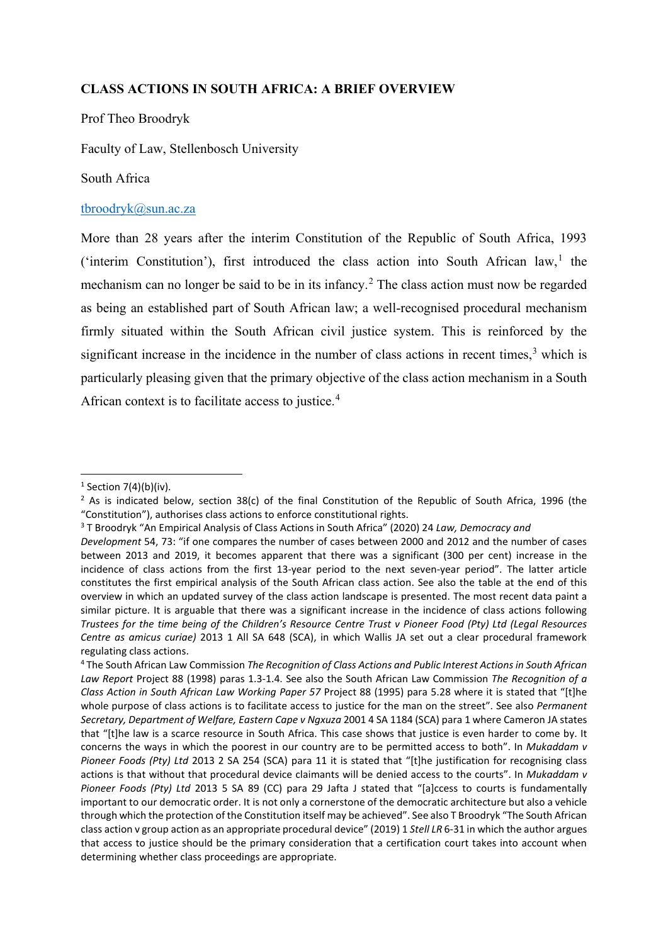## **CLASS ACTIONS IN SOUTH AFRICA: A BRIEF OVERVIEW**

#### Prof Theo Broodryk

Faculty of Law, Stellenbosch University

#### South Africa

### [tbroodryk@sun.ac.za](mailto:tbroodryk@sun.ac.za)

More than 28 years after the interim Constitution of the Republic of South Africa, 1993 ('interim Constitution'), first introduced the class action into South African law,<sup>[1](#page-0-0)</sup> the mechanism can no longer be said to be in its infancy.<sup>[2](#page-0-1)</sup> The class action must now be regarded as being an established part of South African law; a well-recognised procedural mechanism firmly situated within the South African civil justice system. This is reinforced by the significant increase in the incidence in the number of class actions in recent times, [3](#page-0-2) which is particularly pleasing given that the primary objective of the class action mechanism in a South African context is to facilitate access to justice.<sup>[4](#page-0-3)</sup>

<span id="page-0-0"></span> $1$  Section 7(4)(b)(iv).

<span id="page-0-1"></span><sup>&</sup>lt;sup>2</sup> As is indicated below, section 38(c) of the final Constitution of the Republic of South Africa, 1996 (the "Constitution"), authorises class actions to enforce constitutional rights.

<span id="page-0-2"></span><sup>3</sup> T Broodryk "An Empirical Analysis of Class Actions in South Africa" (2020) 24 *Law, Democracy and*

*Development* 54, 73: "if one compares the number of cases between 2000 and 2012 and the number of cases between 2013 and 2019, it becomes apparent that there was a significant (300 per cent) increase in the incidence of class actions from the first 13-year period to the next seven-year period". The latter article constitutes the first empirical analysis of the South African class action. See also the table at the end of this overview in which an updated survey of the class action landscape is presented. The most recent data paint a similar picture. It is arguable that there was a significant increase in the incidence of class actions following *Trustees for the time being of the Children's Resource Centre Trust v Pioneer Food (Pty) Ltd (Legal Resources Centre as amicus curiae)* 2013 1 All SA 648 (SCA), in which Wallis JA set out a clear procedural framework regulating class actions.

<span id="page-0-3"></span><sup>4</sup> The South African Law Commission *The Recognition of Class Actions and Public Interest Actions in South African Law Report* Project 88 (1998) paras 1.3-1.4. See also the South African Law Commission *The Recognition of a Class Action in South African Law Working Paper 57* Project 88 (1995) para 5.28 where it is stated that "[t]he whole purpose of class actions is to facilitate access to justice for the man on the street". See also *Permanent Secretary, Department of Welfare, Eastern Cape v Ngxuza* 2001 4 SA 1184 (SCA) para 1 where Cameron JA states that "[t]he law is a scarce resource in South Africa. This case shows that justice is even harder to come by. It concerns the ways in which the poorest in our country are to be permitted access to both". In *Mukaddam v Pioneer Foods (Pty) Ltd* 2013 2 SA 254 (SCA) para 11 it is stated that "[t]he justification for recognising class actions is that without that procedural device claimants will be denied access to the courts". In *Mukaddam v Pioneer Foods (Pty) Ltd* 2013 5 SA 89 (CC) para 29 Jafta J stated that "[a]ccess to courts is fundamentally important to our democratic order. It is not only a cornerstone of the democratic architecture but also a vehicle through which the protection of the Constitution itself may be achieved". See also T Broodryk "The South African class action v group action as an appropriate procedural device" (2019) 1 *Stell LR* 6-31 in which the author argues that access to justice should be the primary consideration that a certification court takes into account when determining whether class proceedings are appropriate.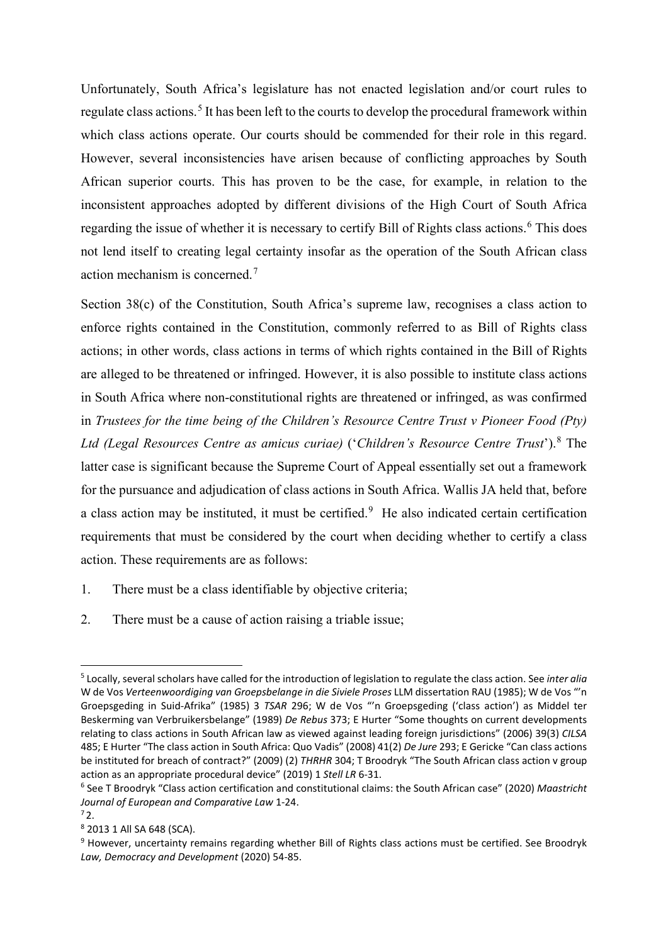Unfortunately, South Africa's legislature has not enacted legislation and/or court rules to regulate class actions.<sup>[5](#page-1-0)</sup> It has been left to the courts to develop the procedural framework within which class actions operate. Our courts should be commended for their role in this regard. However, several inconsistencies have arisen because of conflicting approaches by South African superior courts. This has proven to be the case, for example, in relation to the inconsistent approaches adopted by different divisions of the High Court of South Africa regarding the issue of whether it is necessary to certify Bill of Rights class actions.<sup>[6](#page-1-1)</sup> This does not lend itself to creating legal certainty insofar as the operation of the South African class action mechanism is concerned.<sup>[7](#page-1-2)</sup>

Section 38(c) of the Constitution, South Africa's supreme law, recognises a class action to enforce rights contained in the Constitution, commonly referred to as Bill of Rights class actions; in other words, class actions in terms of which rights contained in the Bill of Rights are alleged to be threatened or infringed. However, it is also possible to institute class actions in South Africa where non-constitutional rights are threatened or infringed, as was confirmed in *Trustees for the time being of the Children's Resource Centre Trust v Pioneer Food (Pty) Ltd (Legal Resources Centre as amicus curiae)* ('*Children's Resource Centre Trust*'). [8](#page-1-3) The latter case is significant because the Supreme Court of Appeal essentially set out a framework for the pursuance and adjudication of class actions in South Africa. Wallis JA held that, before a class action may be instituted, it must be certified.<sup>[9](#page-1-4)</sup> He also indicated certain certification requirements that must be considered by the court when deciding whether to certify a class action. These requirements are as follows:

- 1. There must be a class identifiable by objective criteria;
- 2. There must be a cause of action raising a triable issue;

<span id="page-1-0"></span><sup>5</sup> Locally, several scholars have called for the introduction of legislation to regulate the class action. See *inter alia*  W de Vos *Verteenwoordiging van Groepsbelange in die Siviele Proses* LLM dissertation RAU (1985); W de Vos "'n Groepsgeding in Suid-Afrika" (1985) 3 *TSAR* 296; W de Vos "'n Groepsgeding ('class action') as Middel ter Beskerming van Verbruikersbelange" (1989) *De Rebus* 373; E Hurter "Some thoughts on current developments relating to class actions in South African law as viewed against leading foreign jurisdictions" (2006) 39(3) *CILSA* 485; E Hurter "The class action in South Africa: Quo Vadis" (2008) 41(2) *De Jure* 293; E Gericke "Can class actions be instituted for breach of contract?" (2009) (2) *THRHR* 304; T Broodryk "The South African class action v group action as an appropriate procedural device" (2019) 1 *Stell LR* 6-31.

<span id="page-1-1"></span><sup>6</sup> See T Broodryk "Class action certification and constitutional claims: the South African case" (2020) *Maastricht Journal of European and Comparative Law* 1-24. <sup>7</sup> 2.

<span id="page-1-3"></span><span id="page-1-2"></span><sup>8</sup> 2013 1 All SA 648 (SCA).

<span id="page-1-4"></span><sup>&</sup>lt;sup>9</sup> However, uncertainty remains regarding whether Bill of Rights class actions must be certified. See Broodryk *Law, Democracy and Development* (2020) 54-85.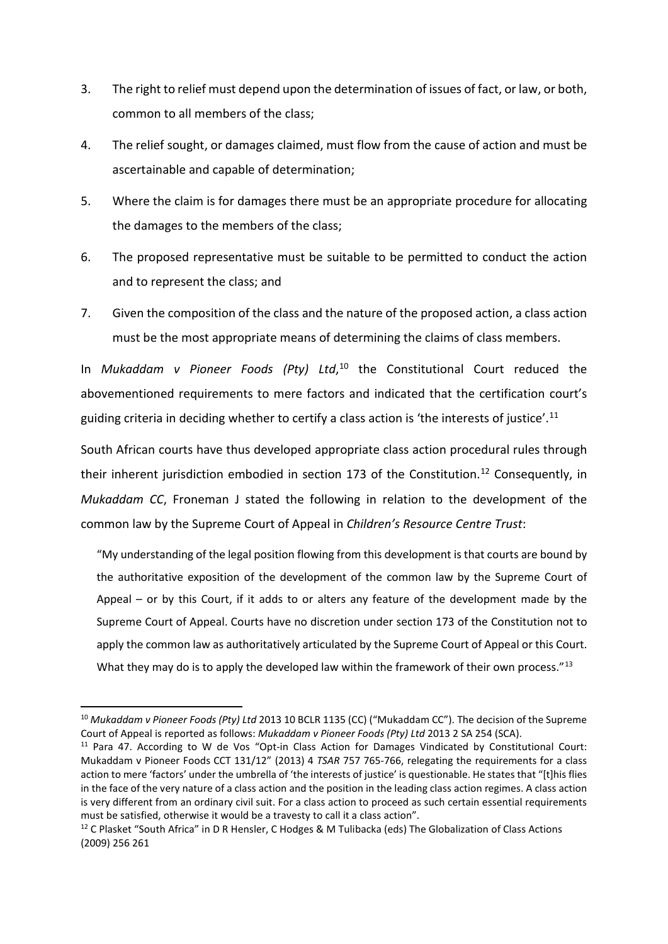- 3. The right to relief must depend upon the determination of issues of fact, or law, or both, common to all members of the class;
- 4. The relief sought, or damages claimed, must flow from the cause of action and must be ascertainable and capable of determination;
- 5. Where the claim is for damages there must be an appropriate procedure for allocating the damages to the members of the class;
- 6. The proposed representative must be suitable to be permitted to conduct the action and to represent the class; and
- 7. Given the composition of the class and the nature of the proposed action, a class action must be the most appropriate means of determining the claims of class members.

In *Mukaddam v Pioneer Foods (Pty) Ltd*, [10](#page-2-0) the Constitutional Court reduced the abovementioned requirements to mere factors and indicated that the certification court's guiding criteria in deciding whether to certify a class action is 'the interests of justice'.<sup>[11](#page-2-1)</sup>

South African courts have thus developed appropriate class action procedural rules through their inherent jurisdiction embodied in section 173 of the Constitution.<sup>[12](#page-2-2)</sup> Consequently, in *Mukaddam CC*, Froneman J stated the following in relation to the development of the common law by the Supreme Court of Appeal in *Children's Resource Centre Trust*:

"My understanding of the legal position flowing from this development is that courts are bound by the authoritative exposition of the development of the common law by the Supreme Court of Appeal – or by this Court, if it adds to or alters any feature of the development made by the Supreme Court of Appeal. Courts have no discretion under section 173 of the Constitution not to apply the common law as authoritatively articulated by the Supreme Court of Appeal or this Court. What they may do is to apply the developed law within the framework of their own process."[13](#page-2-3)

<span id="page-2-0"></span><sup>10</sup> *Mukaddam v Pioneer Foods (Pty) Ltd* 2013 10 BCLR 1135 (CC) ("Mukaddam CC"). The decision of the Supreme Court of Appeal is reported as follows: *Mukaddam v Pioneer Foods (Pty) Ltd* 2013 2 SA 254 (SCA).

<span id="page-2-3"></span><span id="page-2-1"></span><sup>&</sup>lt;sup>11</sup> Para 47. According to W de Vos "Opt-in Class Action for Damages Vindicated by Constitutional Court: Mukaddam v Pioneer Foods CCT 131/12" (2013) 4 *TSAR* 757 765-766, relegating the requirements for a class action to mere 'factors' under the umbrella of 'the interests of justice' is questionable. He states that "[t]his flies in the face of the very nature of a class action and the position in the leading class action regimes. A class action is very different from an ordinary civil suit. For a class action to proceed as such certain essential requirements must be satisfied, otherwise it would be a travesty to call it a class action".<br><sup>12</sup> C Plasket "South Africa" in D R Hensler, C Hodges & M Tulibacka (eds) The Globalization of Class Actions

<span id="page-2-2"></span><sup>(2009) 256</sup> 261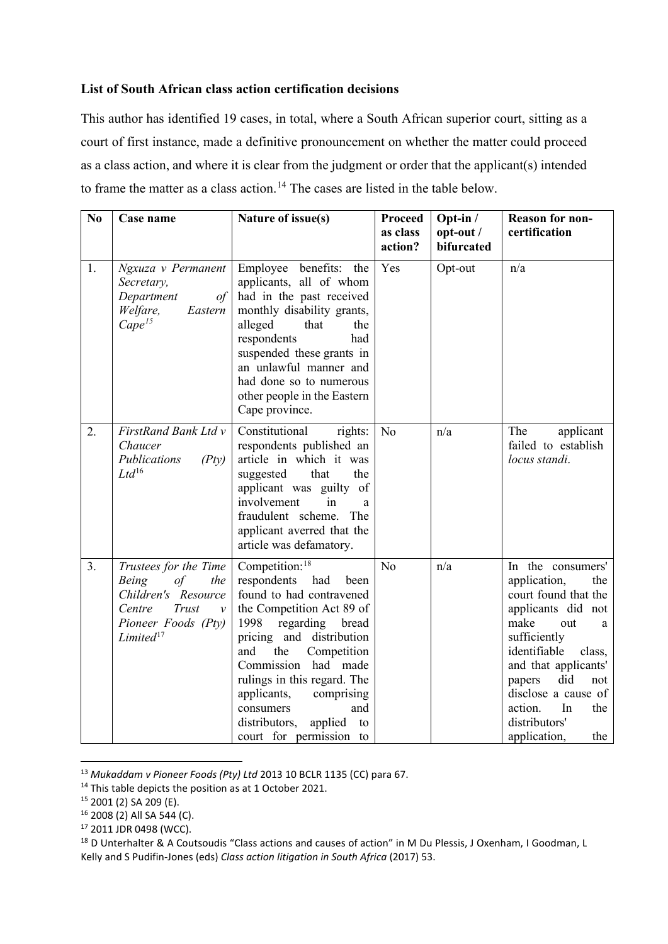# **List of South African class action certification decisions**

This author has identified 19 cases, in total, where a South African superior court, sitting as a court of first instance, made a definitive pronouncement on whether the matter could proceed as a class action, and where it is clear from the judgment or order that the applicant(s) intended to frame the matter as a class action.<sup>[14](#page-3-0)</sup> The cases are listed in the table below.

| N <sub>0</sub> | Case name                                                                                                                                                             | Nature of issue(s)                                                                                                                                                                                                                                                                                                                                                        | <b>Proceed</b><br>as class<br>action? | Opt-in /<br>opt-out /<br>bifurcated | <b>Reason for non-</b><br>certification                                                                                                                                                                                                                                                     |
|----------------|-----------------------------------------------------------------------------------------------------------------------------------------------------------------------|---------------------------------------------------------------------------------------------------------------------------------------------------------------------------------------------------------------------------------------------------------------------------------------------------------------------------------------------------------------------------|---------------------------------------|-------------------------------------|---------------------------------------------------------------------------------------------------------------------------------------------------------------------------------------------------------------------------------------------------------------------------------------------|
| 1.             | Ngxuza v Permanent<br>Secretary,<br>Department<br>$\sigma f$<br>Welfare,<br>Eastern<br>Cape <sup>15</sup>                                                             | Employee benefits: the<br>applicants, all of whom<br>had in the past received<br>monthly disability grants,<br>alleged<br>that<br>the<br>respondents<br>had<br>suspended these grants in<br>an unlawful manner and<br>had done so to numerous<br>other people in the Eastern<br>Cape province.                                                                            | Yes                                   | Opt-out                             | n/a                                                                                                                                                                                                                                                                                         |
| 2.             | FirstRand Bank Ltd v<br>Chaucer<br>Publications<br>( Pty)<br>$Ltd^{16}$                                                                                               | Constitutional<br>rights:<br>respondents published an<br>article in which it was<br>suggested<br>that<br>the<br>applicant was guilty of<br>involvement<br>in<br>a.<br>fraudulent scheme.<br>The<br>applicant averred that the<br>article was defamatory.                                                                                                                  | N <sub>o</sub>                        | n/a                                 | The<br>applicant<br>failed to establish<br>locus standi.                                                                                                                                                                                                                                    |
| 3.             | Trustees for the Time<br><b>Being</b><br>$\sigma f$<br>the<br>Children's Resource<br>Trust<br>Centre<br>$\mathcal{V}$<br>Pioneer Foods (Pty)<br>Limited <sup>17</sup> | Competition: <sup>18</sup><br>respondents<br>had<br>been<br>found to had contravened<br>the Competition Act 89 of<br>1998<br>regarding<br>bread<br>pricing and distribution<br>and<br>the<br>Competition<br>Commission had made<br>rulings in this regard. The<br>applicants,<br>comprising<br>consumers<br>and<br>distributors,<br>applied to<br>court for permission to | No                                    | n/a                                 | In the consumers'<br>application,<br>the<br>court found that the<br>applicants did not<br>make<br>out<br>a<br>sufficiently<br>identifiable<br>class,<br>and that applicants'<br>did<br>papers<br>not<br>disclose a cause of<br>action.<br>In<br>the<br>distributors'<br>application,<br>the |

<sup>13</sup> *Mukaddam v Pioneer Foods (Pty) Ltd* 2013 10 BCLR 1135 (CC) para 67.

<span id="page-3-0"></span><sup>&</sup>lt;sup>14</sup> This table depicts the position as at 1 October 2021.<br><sup>15</sup> 2001 (2) SA 209 (E).

<span id="page-3-2"></span><span id="page-3-1"></span><sup>16</sup> 2008 (2) All SA 544 (C).

<span id="page-3-3"></span><sup>17</sup> 2011 JDR 0498 (WCC).

<span id="page-3-4"></span><sup>&</sup>lt;sup>18</sup> D Unterhalter & A Coutsoudis "Class actions and causes of action" in M Du Plessis, J Oxenham, I Goodman, L Kelly and S Pudifin-Jones (eds) *Class action litigation in South Africa* (2017) 53.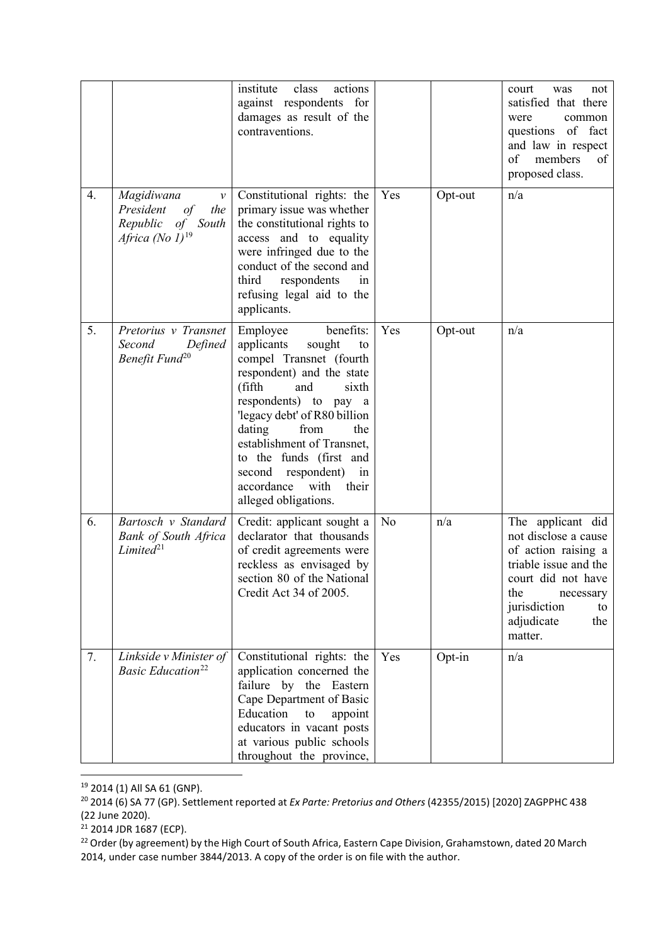|    |                                                                                                              | actions<br>institute<br>class<br>against respondents for<br>damages as result of the<br>contraventions.                                                                                                                                                                                                                                                       |                |         | court<br>was<br>not<br>satisfied that there<br>common<br>were<br>questions of fact<br>and law in respect<br>of<br>members<br>of<br>proposed class.                                        |
|----|--------------------------------------------------------------------------------------------------------------|---------------------------------------------------------------------------------------------------------------------------------------------------------------------------------------------------------------------------------------------------------------------------------------------------------------------------------------------------------------|----------------|---------|-------------------------------------------------------------------------------------------------------------------------------------------------------------------------------------------|
| 4. | Magidiwana<br>$\mathcal{V}$<br>President<br>of<br>the<br>Republic of South<br>Africa (No $1$ ) <sup>19</sup> | Constitutional rights: the<br>primary issue was whether<br>the constitutional rights to<br>access and to equality<br>were infringed due to the<br>conduct of the second and<br>third<br>respondents<br>in<br>refusing legal aid to the<br>applicants.                                                                                                         | Yes            | Opt-out | n/a                                                                                                                                                                                       |
| 5. | Pretorius v Transnet<br>Second<br>Defined<br>Benefit Fund <sup>20</sup>                                      | benefits:<br>Employee<br>applicants<br>sought<br>to<br>compel Transnet (fourth<br>respondent) and the state<br>(fifth<br>and<br>sixth<br>respondents) to pay a<br>'legacy debt' of R80 billion<br>dating<br>from<br>the<br>establishment of Transnet,<br>to the funds (first and<br>second respondent)<br>in<br>accordance with their<br>alleged obligations. | Yes            | Opt-out | n/a                                                                                                                                                                                       |
| 6. | Bartosch v Standard<br><b>Bank of South Africa</b><br>Limited <sup>21</sup>                                  | Credit: applicant sought a<br>declarator that thousands<br>of credit agreements were<br>reckless as envisaged by<br>section 80 of the National<br>Credit Act 34 of 2005.                                                                                                                                                                                      | N <sub>o</sub> | n/a     | The applicant did<br>not disclose a cause<br>of action raising a<br>triable issue and the<br>court did not have<br>the<br>necessary<br>jurisdiction<br>to<br>adjudicate<br>the<br>matter. |
| 7. | Linkside v Minister of<br><b>Basic Education</b> <sup>22</sup>                                               | Constitutional rights: the<br>application concerned the<br>failure by the Eastern<br>Cape Department of Basic<br>Education<br>to<br>appoint<br>educators in vacant posts<br>at various public schools<br>throughout the province,                                                                                                                             | Yes            | Opt-in  | n/a                                                                                                                                                                                       |

<span id="page-4-0"></span><sup>19</sup> 2014 (1) All SA 61 (GNP).

<span id="page-4-1"></span><sup>20</sup> 2014 (6) SA 77 (GP). Settlement reported at *Ex Parte: Pretorius and Others* (42355/2015) [2020] ZAGPPHC 438 (22 June 2020).

<sup>&</sup>lt;sup>21</sup> 2014 JDR 1687 (ECP).

<span id="page-4-3"></span><span id="page-4-2"></span><sup>&</sup>lt;sup>22</sup> Order (by agreement) by the High Court of South Africa, Eastern Cape Division, Grahamstown, dated 20 March 2014, under case number 3844/2013. A copy of the order is on file with the author.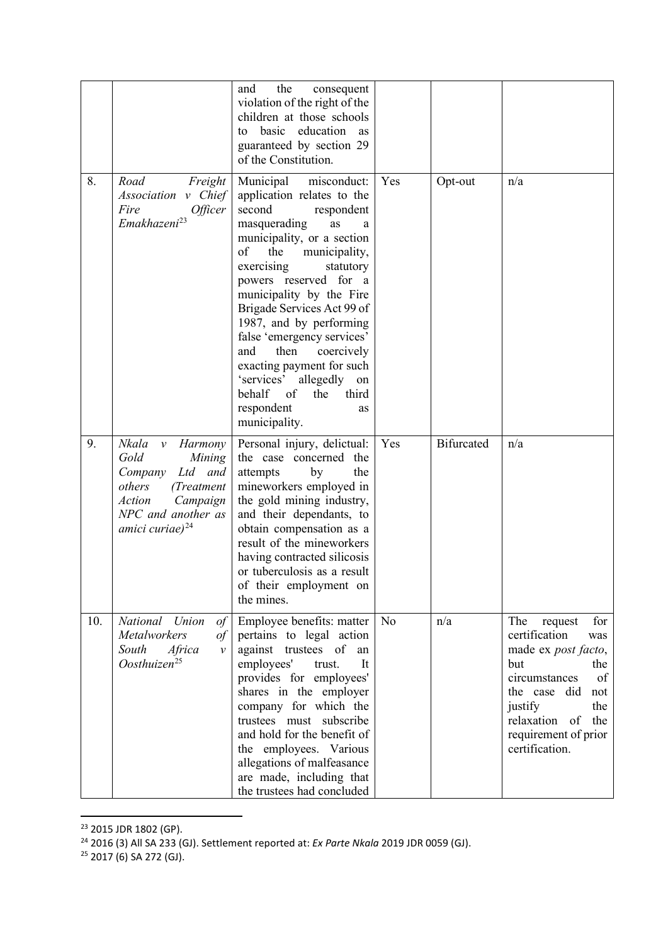|     |                                                                                                                                                                                            | the<br>consequent<br>and<br>violation of the right of the<br>children at those schools<br>basic education as<br>to<br>guaranteed by section 29<br>of the Constitution.                                                                                                                                                                                                                                                                                                                                           |                |                   |                                                                                                                                                                                                                         |
|-----|--------------------------------------------------------------------------------------------------------------------------------------------------------------------------------------------|------------------------------------------------------------------------------------------------------------------------------------------------------------------------------------------------------------------------------------------------------------------------------------------------------------------------------------------------------------------------------------------------------------------------------------------------------------------------------------------------------------------|----------------|-------------------|-------------------------------------------------------------------------------------------------------------------------------------------------------------------------------------------------------------------------|
| 8.  | Road<br>Freight<br>Association v Chief<br>Fire<br>Officer<br>Emakhazeni <sup>23</sup>                                                                                                      | Municipal<br>misconduct:<br>application relates to the<br>second<br>respondent<br>masquerading<br>as<br>a<br>municipality, or a section<br>of<br>the<br>municipality,<br>exercising<br>statutory<br>powers reserved for a<br>municipality by the Fire<br>Brigade Services Act 99 of<br>1987, and by performing<br>false 'emergency services'<br>and<br>then<br>coercively<br>exacting payment for such<br>'services'<br>allegedly on<br>behalf<br>of<br>the<br>third<br>respondent<br><b>as</b><br>municipality. | Yes            | Opt-out           | n/a                                                                                                                                                                                                                     |
| 9.  | Nkala<br><b>Harmony</b><br>$\mathcal V$<br>Gold<br>Mining<br>Ltd and<br>Company<br>others<br>(Treatment)<br><b>Action</b><br>Campaign<br>NPC and another as<br>amici curiae) <sup>24</sup> | Personal injury, delictual:<br>the case concerned<br>the<br>attempts<br>by<br>the<br>mineworkers employed in<br>the gold mining industry,<br>and their dependants, to<br>obtain compensation as a<br>result of the mineworkers<br>having contracted silicosis<br>or tuberculosis as a result<br>of their employment on<br>the mines.                                                                                                                                                                             | Yes            | <b>Bifurcated</b> | n/a                                                                                                                                                                                                                     |
| 10. | National Union<br>$\sigma f$<br><b>Metalworkers</b><br>$\sigma f$<br>South<br>Africa<br>$\mathcal{V}$<br>Oosthuizen <sup>25</sup>                                                          | Employee benefits: matter<br>pertains to legal action<br>against trustees of<br>an<br>employees'<br>It<br>trust.<br>provides for employees'<br>shares in the employer<br>company for which the<br>trustees must subscribe<br>and hold for the benefit of<br>the employees. Various<br>allegations of malfeasance<br>are made, including that<br>the trustees had concluded                                                                                                                                       | N <sub>o</sub> | n/a               | The<br>for<br>request<br>certification<br>was<br>made ex post facto,<br>but<br>the<br>of<br>circumstances<br>the case<br>did<br>not<br>justify<br>the<br>relaxation of<br>the<br>requirement of prior<br>certification. |

<span id="page-5-1"></span><span id="page-5-0"></span><sup>&</sup>lt;sup>23</sup> 2015 JDR 1802 (GP).

<sup>24</sup> 2016 (3) All SA 233 (GJ). Settlement reported at: *Ex Parte Nkala* 2019 JDR 0059 (GJ).

<span id="page-5-2"></span><sup>&</sup>lt;sup>25</sup> 2017 (6) SA 272 (GJ).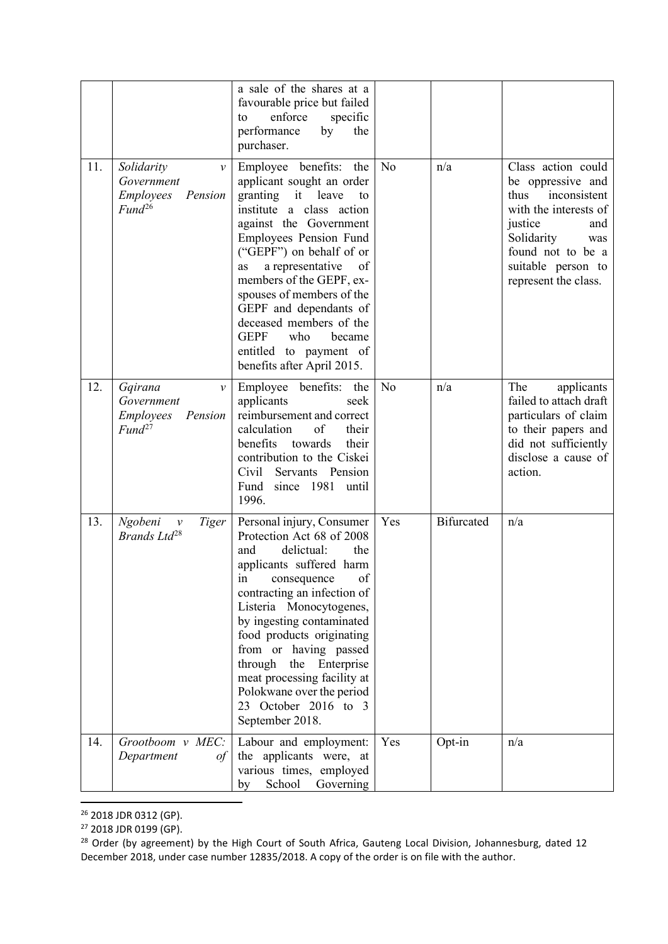|     |                                                                                                | a sale of the shares at a<br>favourable price but failed<br>enforce<br>specific<br>to<br>performance<br>by<br>the<br>purchaser.                                                                                                                                                                                                                                                                                                            |                |                   |                                                                                                                                                                                                    |
|-----|------------------------------------------------------------------------------------------------|--------------------------------------------------------------------------------------------------------------------------------------------------------------------------------------------------------------------------------------------------------------------------------------------------------------------------------------------------------------------------------------------------------------------------------------------|----------------|-------------------|----------------------------------------------------------------------------------------------------------------------------------------------------------------------------------------------------|
| 11. | Solidarity<br>$\mathcal{V}$<br>Government<br><b>Employees</b><br>Pension<br>Fund <sup>26</sup> | Employee benefits: the<br>applicant sought an order<br>granting<br>it leave<br>to<br>institute a class action<br>against the Government<br><b>Employees Pension Fund</b><br>("GEPF") on behalf of or<br>a representative<br>of<br>as<br>members of the GEPF, ex-<br>spouses of members of the<br>GEPF and dependants of<br>deceased members of the<br><b>GEPF</b><br>who<br>became<br>entitled to payment of<br>benefits after April 2015. | N <sub>o</sub> | n/a               | Class action could<br>be oppressive and<br>thus<br>inconsistent<br>with the interests of<br>justice<br>and<br>Solidarity<br>was<br>found not to be a<br>suitable person to<br>represent the class. |
| 12. | Gqirana<br>$\mathcal V$<br>Government<br>Employees<br>Pension<br>Fund <sup>27</sup>            | Employee benefits: the<br>applicants<br>seek<br>reimbursement and correct<br>of<br>their<br>calculation<br>benefits<br>their<br>towards<br>contribution to the Ciskei<br>Civil Servants Pension<br>Fund since 1981 until<br>1996.                                                                                                                                                                                                          | N <sub>o</sub> | n/a               | The<br>applicants<br>failed to attach draft<br>particulars of claim<br>to their papers and<br>did not sufficiently<br>disclose a cause of<br>action.                                               |
| 13. | Ngobeni<br>Tiger<br>$\mathcal V$<br>Brands Ltd <sup>28</sup>                                   | Personal injury, Consumer<br>Protection Act 68 of 2008<br>delictual:<br>the<br>and<br>applicants suffered harm<br>of<br>in<br>consequence<br>contracting an infection of<br>Listeria Monocytogenes,<br>by ingesting contaminated<br>food products originating<br>from or having passed<br>through the Enterprise<br>meat processing facility at<br>Polokwane over the period<br>23 October 2016 to 3<br>September 2018.                    | Yes            | <b>Bifurcated</b> | n/a                                                                                                                                                                                                |
| 14. | Grootboom v MEC:<br>Department<br>of                                                           | Labour and employment:<br>the applicants were, at<br>various times, employed<br>School<br>Governing<br>by                                                                                                                                                                                                                                                                                                                                  | Yes            | Opt-in            | n/a                                                                                                                                                                                                |

<span id="page-6-0"></span><sup>&</sup>lt;sup>26</sup> 2018 JDR 0312 (GP).

<span id="page-6-1"></span><sup>&</sup>lt;sup>27</sup> 2018 JDR 0199 (GP).

<span id="page-6-2"></span><sup>&</sup>lt;sup>28</sup> Order (by agreement) by the High Court of South Africa, Gauteng Local Division, Johannesburg, dated 12 December 2018, under case number 12835/2018. A copy of the order is on file with the author.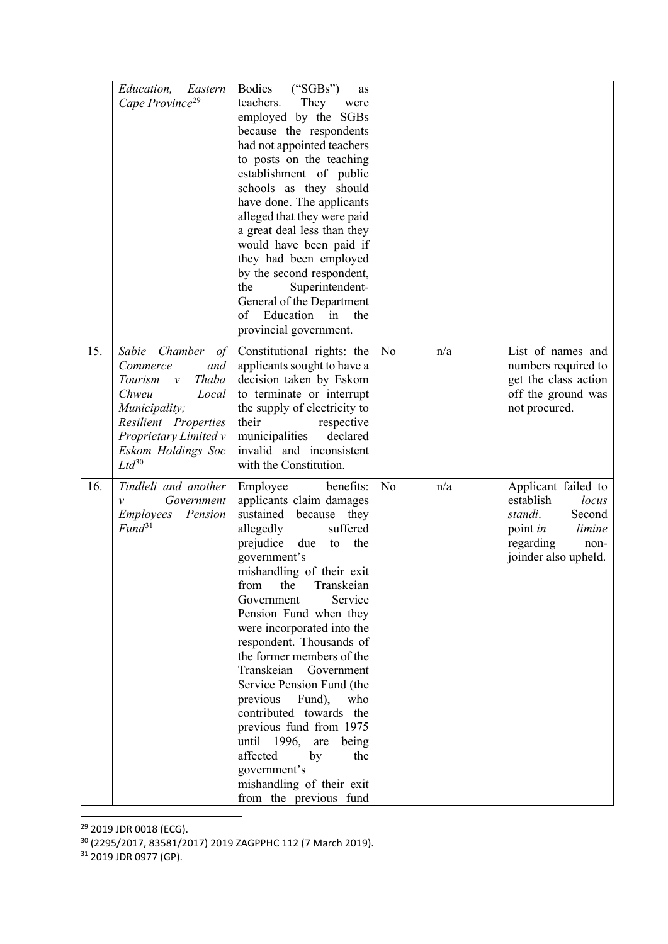|     | Eastern<br><i>Education,</i><br>Cape Province <sup>29</sup>                                                                                                                                 | Bodies<br>("SGBs")<br>as<br>They<br>teachers.<br>were<br>employed by the SGBs<br>because the respondents<br>had not appointed teachers<br>to posts on the teaching<br>establishment of public<br>schools as they should<br>have done. The applicants<br>alleged that they were paid<br>a great deal less than they<br>would have been paid if<br>they had been employed<br>by the second respondent,<br>the<br>Superintendent-<br>General of the Department<br>Education in<br>of<br>the<br>provincial government.                                                                                                           |                |     |                                                                                                                                          |
|-----|---------------------------------------------------------------------------------------------------------------------------------------------------------------------------------------------|------------------------------------------------------------------------------------------------------------------------------------------------------------------------------------------------------------------------------------------------------------------------------------------------------------------------------------------------------------------------------------------------------------------------------------------------------------------------------------------------------------------------------------------------------------------------------------------------------------------------------|----------------|-----|------------------------------------------------------------------------------------------------------------------------------------------|
| 15. | Sabie Chamber<br>$\circ f$<br>Commerce<br>and<br>Thaba<br>Tourism v<br>Chweu<br>Local<br>Municipality;<br>Resilient Properties<br>Proprietary Limited v<br>Eskom Holdings Soc<br>$Ltd^{30}$ | Constitutional rights: the<br>applicants sought to have a<br>decision taken by Eskom<br>to terminate or interrupt<br>the supply of electricity to<br>their<br>respective<br>municipalities<br>declared<br>invalid and inconsistent<br>with the Constitution.                                                                                                                                                                                                                                                                                                                                                                 | N <sub>o</sub> | n/a | List of names and<br>numbers required to<br>get the class action<br>off the ground was<br>not procured.                                  |
| 16. | Tindleli and another<br>Government<br>$\mathcal{V}$<br>Employees<br>Pension<br>Fund <sup>31</sup>                                                                                           | Employee<br>benefits:<br>applicants claim damages<br>sustained because they<br>suffered<br>allegedly<br>prejudice due<br>to the<br>government's<br>mishandling of their exit<br>from<br>the<br>Transkeian<br><b>Service</b><br>Government<br>Pension Fund when they<br>were incorporated into the<br>respondent. Thousands of<br>the former members of the<br>Transkeian Government<br>Service Pension Fund (the<br>previous Fund),<br>who<br>contributed towards the<br>previous fund from 1975<br>until 1996, are<br>being<br>affected<br>by<br>the<br>government's<br>mishandling of their exit<br>from the previous fund | No             | n/a | Applicant failed to<br>establish<br>locus<br>standi.<br>Second<br>point <i>in</i><br>limine<br>regarding<br>non-<br>joinder also upheld. |

<span id="page-7-0"></span><sup>&</sup>lt;sup>29</sup> 2019 JDR 0018 (ECG).

<span id="page-7-2"></span><sup>31</sup> 2019 JDR 0977 (GP).

<span id="page-7-1"></span><sup>30</sup> (2295/2017, 83581/2017) 2019 ZAGPPHC 112 (7 March 2019).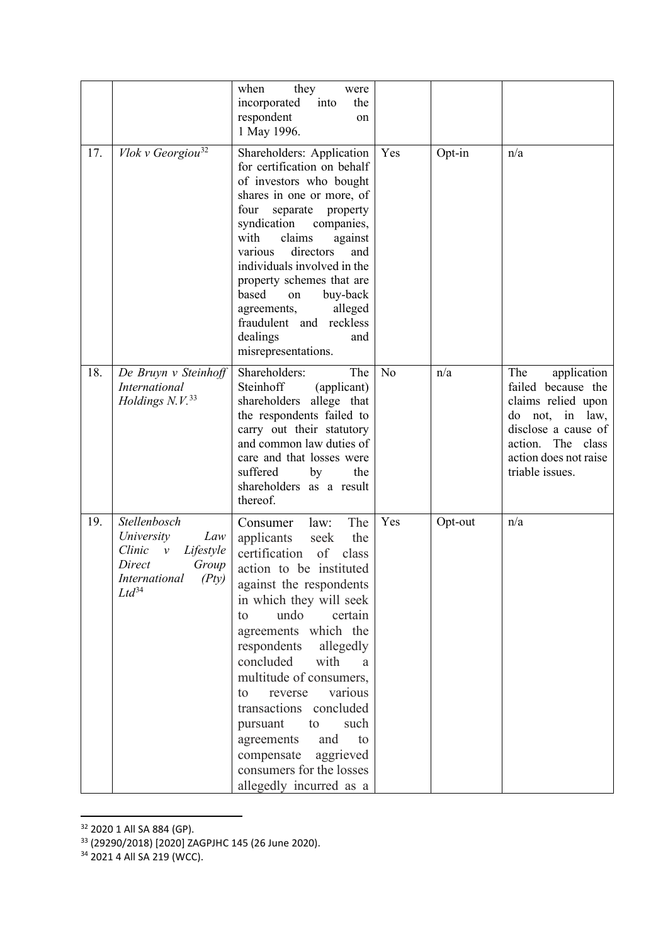|     |                                                                                                                                  | when<br>they<br>were<br>incorporated into<br>the<br>respondent<br>on<br>1 May 1996.                                                                                                                                                                                                                                                                                                                                                                                                                   |                |         |                                                                                                                                                                           |
|-----|----------------------------------------------------------------------------------------------------------------------------------|-------------------------------------------------------------------------------------------------------------------------------------------------------------------------------------------------------------------------------------------------------------------------------------------------------------------------------------------------------------------------------------------------------------------------------------------------------------------------------------------------------|----------------|---------|---------------------------------------------------------------------------------------------------------------------------------------------------------------------------|
| 17. | Vlok v Georgiou <sup>32</sup>                                                                                                    | Shareholders: Application<br>for certification on behalf<br>of investors who bought<br>shares in one or more, of<br>four<br>separate property<br>syndication companies,<br>with<br>claims<br>against<br>directors<br>various<br>and<br>individuals involved in the<br>property schemes that are<br>based<br>buy-back<br>on<br>agreements,<br>alleged<br>fraudulent and reckless<br>dealings<br>and<br>misrepresentations.                                                                             | Yes            | Opt-in  | n/a                                                                                                                                                                       |
| 18. | De Bruyn v Steinhoff<br>International<br>Holdings $N.V.^33$                                                                      | Shareholders:<br>The<br>Steinhoff<br>(applicant)<br>shareholders<br>allege that<br>the respondents failed to<br>carry out their statutory<br>and common law duties of<br>care and that losses were<br>suffered<br>by<br>the<br>shareholders as a result<br>thereof.                                                                                                                                                                                                                                   | N <sub>o</sub> | n/a     | The<br>application<br>failed because the<br>claims relied upon<br>do not, in law,<br>disclose a cause of<br>action. The class<br>action does not raise<br>triable issues. |
| 19. | Stellenbosch<br>University<br>Law<br>Clinic<br>Lifestyle<br>$\mathcal V$<br>Direct<br>Group<br>International (Pty)<br>$Ltd^{34}$ | The<br>Consumer<br>law:<br>applicants<br>the<br>seek<br>certification<br>of<br>class<br>action to be instituted<br>against the respondents<br>in which they will seek<br>undo<br>certain<br>to<br>agreements which the<br>respondents<br>allegedly<br>concluded<br>with<br>a.<br>multitude of consumers,<br>various<br>reverse<br>to<br>transactions concluded<br>such<br>pursuant<br>to<br>and<br>agreements<br>to<br>compensate<br>aggrieved<br>consumers for the losses<br>allegedly incurred as a | Yes            | Opt-out | n/a                                                                                                                                                                       |

<span id="page-8-0"></span><sup>&</sup>lt;sup>32</sup> 2020 1 All SA 884 (GP).

<span id="page-8-1"></span><sup>33</sup> (29290/2018) [2020] ZAGPJHC 145 (26 June 2020).

<span id="page-8-2"></span><sup>&</sup>lt;sup>34</sup> 2021 4 All SA 219 (WCC).